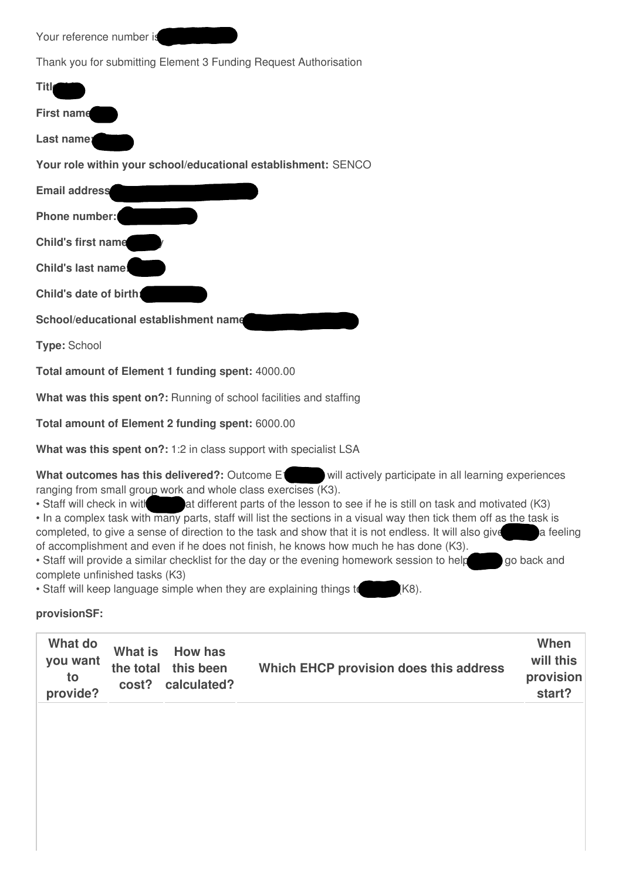| Your reference number is |  |
|--------------------------|--|
|--------------------------|--|

Thank you for submitting Element 3 Funding Request Authorisation

| Titl                                                          |
|---------------------------------------------------------------|
| <b>First name</b>                                             |
| Last namer                                                    |
| Your role within your school/educational establishment: SENCO |
| <b>Email address</b>                                          |
| Phone number:                                                 |
| <b>Child's first name</b>                                     |
| <b>Child's last name!</b>                                     |
| Child's date of birth:                                        |
| School/educational establishment name                         |
| <b>Type: School</b>                                           |
|                                                               |

**Total amount of Element 1 funding spent:** 4000.00

**What was this spent on?:** Running of school facilities and staffing

**Total amount of Element 2 funding spent:** 6000.00

**What was this spent on?:** 1:2 in class support with specialist LSA

**What outcomes has this delivered?:** Outcome E<sup>1</sup> will actively participate in all learning experiences ranging from small group work and whole class exercises (K3).

- Staff will check in with at different parts of the lesson to see if he is still on task and motivated (K3)
- In a complex task with many parts, staff will list the sections in a visual way then tick them off as the task is completed, to give a sense of direction to the task and show that it is not endless. It will also give a feeling of accomplishment and even if he does not finish, he knows how much he has done (K3).

• Staff will provide a similar checklist for the day or the evening homework session to help go back and complete unfinished tasks (K3)

• Staff will keep language simple when they are explaining things to K8).

## **provisionSF:**

| What do<br>What is How has<br>you want<br>the total this been<br>Which EHCP provision does this address<br>to<br>cost? calculated?<br>provide? | When<br>will this<br>provision<br>start? |
|------------------------------------------------------------------------------------------------------------------------------------------------|------------------------------------------|
|------------------------------------------------------------------------------------------------------------------------------------------------|------------------------------------------|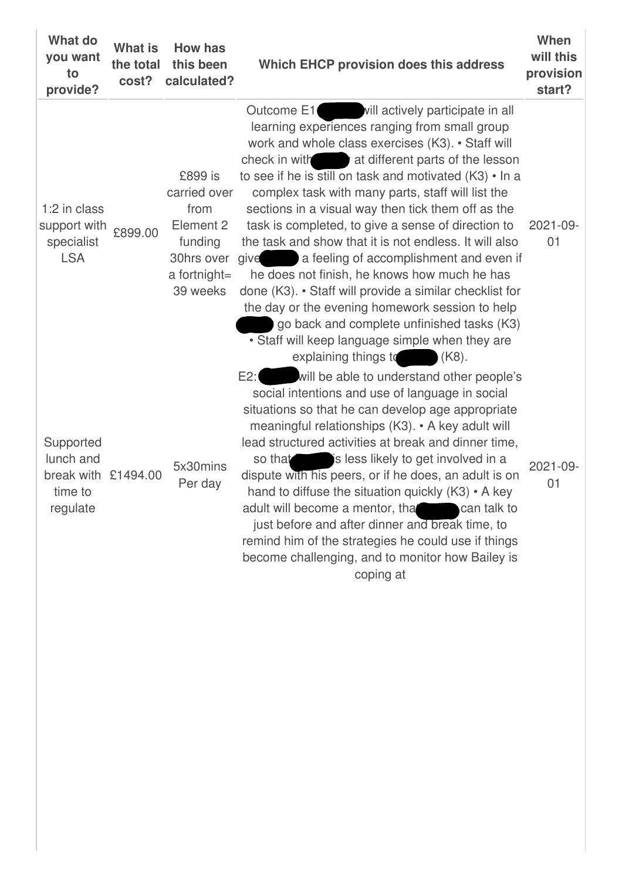| <b>What do</b><br>you want<br>to<br>provide?                         | <b>What is</b><br>the total<br>cost? | <b>How has</b><br>this been<br>calculated?                                                        | Which EHCP provision does this address                                                                                                                                                                                                                                                                                                                                                                                                                                                                                                                                                                                                                                                                                                                                                                                                                 | When<br>will this<br>provision<br>start? |
|----------------------------------------------------------------------|--------------------------------------|---------------------------------------------------------------------------------------------------|--------------------------------------------------------------------------------------------------------------------------------------------------------------------------------------------------------------------------------------------------------------------------------------------------------------------------------------------------------------------------------------------------------------------------------------------------------------------------------------------------------------------------------------------------------------------------------------------------------------------------------------------------------------------------------------------------------------------------------------------------------------------------------------------------------------------------------------------------------|------------------------------------------|
| 1:2 in class<br>support with<br>specialist<br><b>LSA</b>             | £899.00                              | £899 is<br>carried over<br>from<br>Element 2<br>funding<br>30hrs over<br>a fortnight=<br>39 weeks | vill actively participate in all<br>Outcome E1<br>learning experiences ranging from small group<br>work and whole class exercises (K3). • Staff will<br>check in with the valid different parts of the lesson<br>to see if he is still on task and motivated (K3) • In a<br>complex task with many parts, staff will list the<br>sections in a visual way then tick them off as the<br>task is completed, to give a sense of direction to<br>the task and show that it is not endless. It will also<br>give a feeling of accomplishment and even if<br>he does not finish, he knows how much he has<br>done (K3). • Staff will provide a similar checklist for<br>the day or the evening homework session to help<br>go back and complete unfinished tasks (K3)<br>• Staff will keep language simple when they are<br>explaining things to<br>$(K8)$ . | 2021-09-<br>01                           |
| Supported<br>lunch and<br>break with £1494.00<br>time to<br>regulate |                                      | 5x30mins<br>Per day                                                                               | will be able to understand other people's<br>E2:<br>social intentions and use of language in social<br>situations so that he can develop age appropriate<br>meaningful relationships (K3). • A key adult will<br>lead structured activities at break and dinner time,<br>is less likely to get involved in a<br>so that<br>dispute with his peers, or if he does, an adult is on<br>hand to diffuse the situation quickly $(K3) \cdot A$ key<br>adult will become a mentor, that can talk to<br>just before and after dinner and break time, to<br>remind him of the strategies he could use if things<br>become challenging, and to monitor how Bailey is<br>coping at                                                                                                                                                                                | 2021-09-<br>01                           |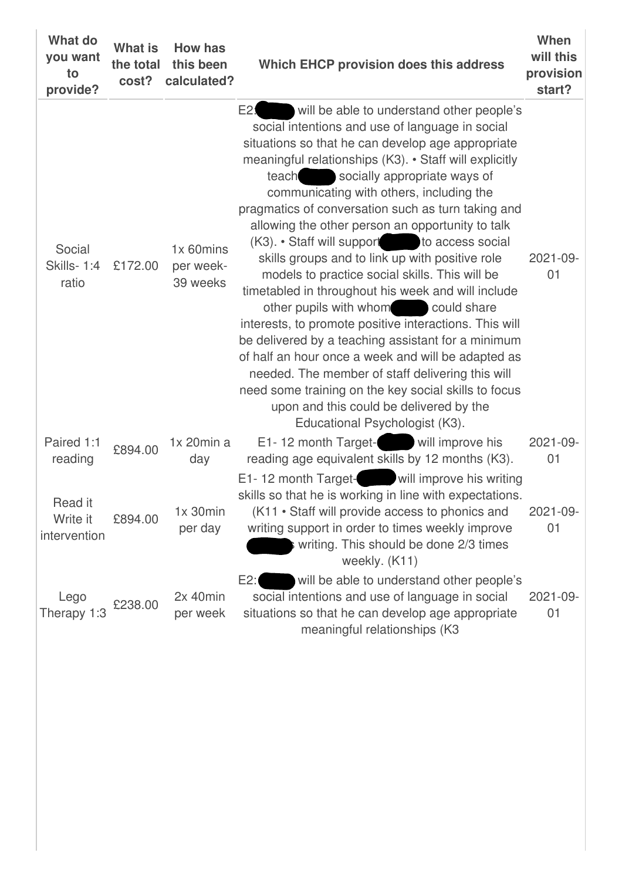| <b>What do</b><br>you want<br>to<br>provide? | <b>What is</b><br>the total<br>cost? | <b>How has</b><br>this been<br>calculated? | Which EHCP provision does this address                                                                                                                                                                                                                                                                                                                                                                                                                                                                                                                                                                                                                                                                                                                                                                                                                                                                                                                                                                                                    | When<br>will this<br>provision<br>start? |
|----------------------------------------------|--------------------------------------|--------------------------------------------|-------------------------------------------------------------------------------------------------------------------------------------------------------------------------------------------------------------------------------------------------------------------------------------------------------------------------------------------------------------------------------------------------------------------------------------------------------------------------------------------------------------------------------------------------------------------------------------------------------------------------------------------------------------------------------------------------------------------------------------------------------------------------------------------------------------------------------------------------------------------------------------------------------------------------------------------------------------------------------------------------------------------------------------------|------------------------------------------|
| Social<br><b>Skills-1:4</b><br>ratio         | £172.00                              | 1x 60mins<br>per week-<br>39 weeks         | E2 <sub>1</sub><br>will be able to understand other people's<br>social intentions and use of language in social<br>situations so that he can develop age appropriate<br>meaningful relationships (K3). • Staff will explicitly<br>teach socially appropriate ways of<br>communicating with others, including the<br>pragmatics of conversation such as turn taking and<br>allowing the other person an opportunity to talk<br>(K3). • Staff will support to access social<br>skills groups and to link up with positive role<br>models to practice social skills. This will be<br>timetabled in throughout his week and will include<br>other pupils with whom could share<br>interests, to promote positive interactions. This will<br>be delivered by a teaching assistant for a minimum<br>of half an hour once a week and will be adapted as<br>needed. The member of staff delivering this will<br>need some training on the key social skills to focus<br>upon and this could be delivered by the<br>Educational Psychologist (K3). | 2021-09-<br>01                           |
| Paired 1:1<br>reading                        | £894.00                              | $1x$ 20 $min a$<br>day                     | E1-12 month Target-<br>will improve his<br>reading age equivalent skills by 12 months (K3).                                                                                                                                                                                                                                                                                                                                                                                                                                                                                                                                                                                                                                                                                                                                                                                                                                                                                                                                               | 2021-09-<br>01                           |
| Read it<br>Write it<br>intervention          | £894.00                              | $1x$ 30 $min$<br>per day                   | will improve his writing<br>E1-12 month Target-<br>skills so that he is working in line with expectations.<br>(K11 • Staff will provide access to phonics and<br>writing support in order to times weekly improve<br>writing. This should be done 2/3 times<br>weekly. (K11)                                                                                                                                                                                                                                                                                                                                                                                                                                                                                                                                                                                                                                                                                                                                                              | 2021-09-<br>01                           |
| Lego<br>Therapy 1:3                          | £238.00                              | $2x$ 40 $min$<br>per week                  | E2:<br>will be able to understand other people's<br>social intentions and use of language in social<br>situations so that he can develop age appropriate<br>meaningful relationships (K3                                                                                                                                                                                                                                                                                                                                                                                                                                                                                                                                                                                                                                                                                                                                                                                                                                                  | 2021-09-<br>01                           |